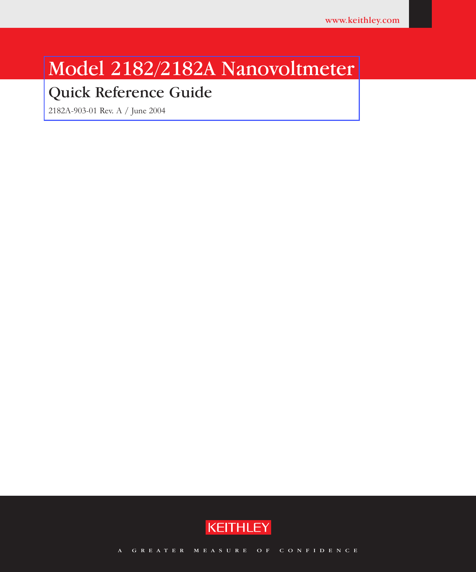# [Model 2182/2182A Nanovoltmeter](#page-6-0)

# Quick Reference Guide

2182A-903-01 Rev. A / June 2004

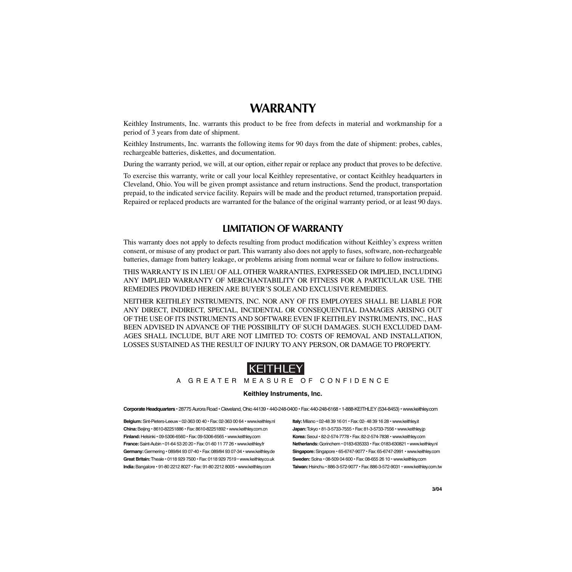# **WARRANTY**

Keithley Instruments, Inc. warrants this product to be free from defects in material and workmanship for a period of 3 years from date of shipment.

Keithley Instruments, Inc. warrants the following items for 90 days from the date of shipment: probes, cables, rechargeable batteries, diskettes, and documentation.

During the warranty period, we will, at our option, either repair or replace any product that proves to be defective.

To exercise this warranty, write or call your local Keithley representative, or contact Keithley headquarters in Cleveland, Ohio. You will be given prompt assistance and return instructions. Send the product, transportation prepaid, to the indicated service facility. Repairs will be made and the product returned, transportation prepaid. Repaired or replaced products are warranted for the balance of the original warranty period, or at least 90 days.

## **LIMITATION OF WARRANTY**

This warranty does not apply to defects resulting from product modification without Keithley's express written consent, or misuse of any product or part. This warranty also does not apply to fuses, software, non-rechargeable batteries, damage from battery leakage, or problems arising from normal wear or failure to follow instructions.

THIS WARRANTY IS IN LIEU OF ALL OTHER WARRANTIES, EXPRESSED OR IMPLIED, INCLUDING ANY IMPLIED WARRANTY OF MERCHANTABILITY OR FITNESS FOR A PARTICULAR USE. THE REMEDIES PROVIDED HEREIN ARE BUYER'S SOLE AND EXCLUSIVE REMEDIES.

NEITHER KEITHLEY INSTRUMENTS, INC. NOR ANY OF ITS EMPLOYEES SHALL BE LIABLE FOR ANY DIRECT, INDIRECT, SPECIAL, INCIDENTAL OR CONSEQUENTIAL DAMAGES ARISING OUT OF THE USE OF ITS INSTRUMENTS AND SOFTWARE EVEN IF KEITHLEY INSTRUMENTS, INC., HAS BEEN ADVISED IN ADVANCE OF THE POSSIBILITY OF SUCH DAMAGES. SUCH EXCLUDED DAM-AGES SHALL INCLUDE, BUT ARE NOT LIMITED TO: COSTS OF REMOVAL AND INSTALLATION, LOSSES SUSTAINED AS THE RESULT OF INJURY TO ANY PERSON, OR DAMAGE TO PROPERTY.



#### A GREATER MEASURE OF CONFIDENCE

#### **Keithley Instruments, Inc.**

**Corporate Headquarters** • 28775 Aurora Road • Cleveland, Ohio 44139 • 440-248-0400 • Fax: 440-248-6168 • 1-888-KEITHLEY (534-8453) • www.keithley.com

**Belgium:** Sint-Pieters-Leeuw • 02-363 00 40 • Fax: 02-363 00 64 • www.keithley.nl **Italy:** Milano • 02-48 39 16 01 • Fax: 02- 48 39 16 28 • www.keithley.it **China:** Beijing • 8610-82251886 • Fax: 8610-82251892 • www.keithley.com.cn **Japan:**Tokyo • 81-3-5733-7555 • Fax: 81-3-5733-7556 • www.keithley.jp **Finland:** Helsinki • 09-5306-6560 • Fax: 09-5306-6565 • www.keithley.com **Korea:** Seoul • 82-2-574-7778 • Fax: 82-2-574-7838 • www.keithley.com **France:** Saint-Aubin • 01-64 53 20 20 • Fax: 01-60 11 77 26 • www.keithley.fr **Netherlands:** Gorinchem • 0183-635333 • Fax: 0183-630821 • www.keithley.nl **Germany:** Germering • 089/84 93 07-40 • Fax: 089/84 93 07-34 • www.keithley.de **Singapore:** Singapore • 65-6747-9077 • Fax: 65-6747-2991 • www.keithley.com **Great Britain:**Theale • 0118 929 7500 • Fax: 0118 929 7519 • www.keithley.co.uk **Sweden:** Solna • 08-509 04 600 • Fax: 08-655 26 10 • www.keithley.com **India:** Bangalore • 91-80 2212 8027 • Fax: 91-80 2212 8005 • www.keithley.com **Taiwan:** Hsinchu • 886-3-572-9077 • Fax: 886-3-572-9031 • www.keithley.com.tw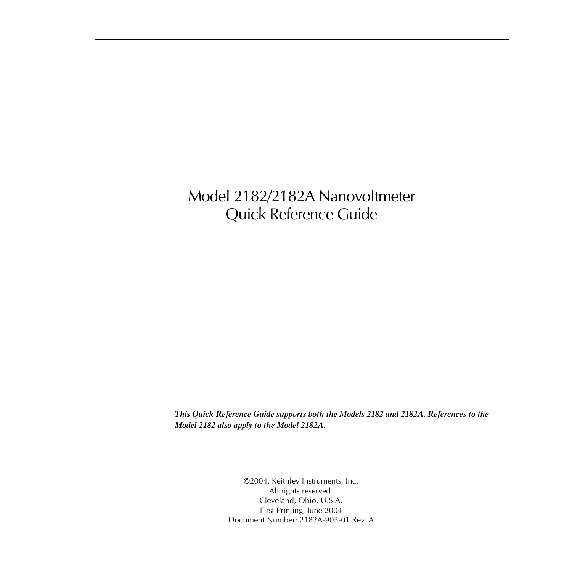# Model 2182/2182A Nanovoltmeter Quick Reference Guide

*This Quick Reference Guide supports both the Models 2182 and 2182A. References to the Model 2182 also apply to the Model 2182A.*

> ©2004, Keithley Instruments, Inc. All rights reserved. Cleveland, Ohio, U.S.A. First Printing, June 2004 Document Number: 2182A-903-01 Rev. A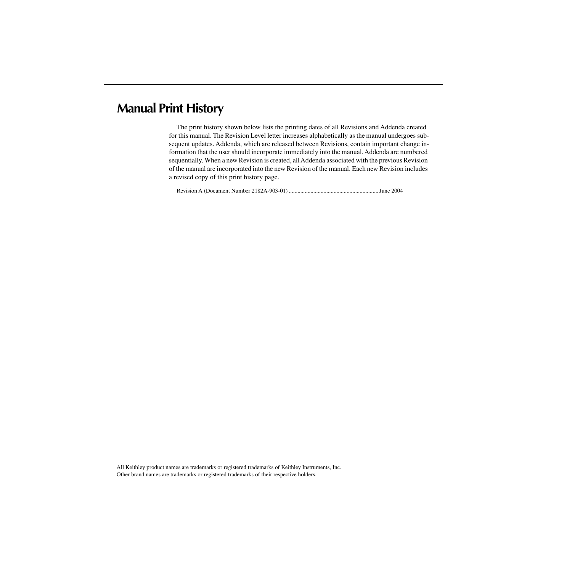## **Manual Print History**

The print history shown below lists the printing dates of all Revisions and Addenda created for this manual. The Revision Level letter increases alphabetically as the manual undergoes subsequent updates. Addenda, which are released between Revisions, contain important change information that the user should incorporate immediately into the manual. Addenda are numbered sequentially. When a new Revision is created, all Addenda associated with the previous Revision of the manual are incorporated into the new Revision of the manual. Each new Revision includes a revised copy of this print history page.

Revision A (Document Number 2182A-903-01) .............................................................. June 2004

All Keithley product names are trademarks or registered trademarks of Keithley Instruments, Inc. Other brand names are trademarks or registered trademarks of their respective holders.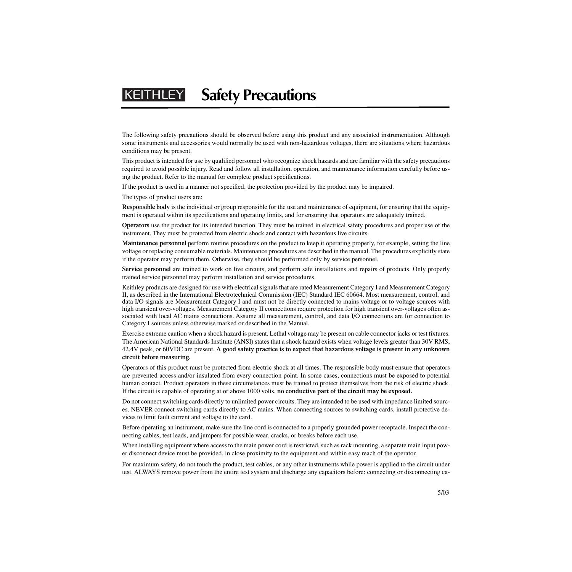## **Safety Precautions KEITHLEY**

The following safety precautions should be observed before using this product and any associated instrumentation. Although some instruments and accessories would normally be used with non-hazardous voltages, there are situations where hazardous conditions may be present.

This product is intended for use by qualified personnel who recognize shock hazards and are familiar with the safety precautions required to avoid possible injury. Read and follow all installation, operation, and maintenance information carefully before using the product. Refer to the manual for complete product specifications.

If the product is used in a manner not specified, the protection provided by the product may be impaired.

The types of product users are:

**Responsible body** is the individual or group responsible for the use and maintenance of equipment, for ensuring that the equipment is operated within its specifications and operating limits, and for ensuring that operators are adequately trained.

**Operators** use the product for its intended function. They must be trained in electrical safety procedures and proper use of the instrument. They must be protected from electric shock and contact with hazardous live circuits.

**Maintenance personnel** perform routine procedures on the product to keep it operating properly, for example, setting the line voltage or replacing consumable materials. Maintenance procedures are described in the manual. The procedures explicitly state if the operator may perform them. Otherwise, they should be performed only by service personnel.

**Service personnel** are trained to work on live circuits, and perform safe installations and repairs of products. Only properly trained service personnel may perform installation and service procedures.

Keithley products are designed for use with electrical signals that are rated Measurement Category I and Measurement Category II, as described in the International Electrotechnical Commission (IEC) Standard IEC 60664. Most measurement, control, and data I/O signals are Measurement Category I and must not be directly connected to mains voltage or to voltage sources with high transient over-voltages. Measurement Category II connections require protection for high transient over-voltages often associated with local AC mains connections. Assume all measurement, control, and data I/O connections are for connection to Category I sources unless otherwise marked or described in the Manual.

Exercise extreme caution when a shock hazard is present. Lethal voltage may be present on cable connector jacks or test fixtures. The American National Standards Institute (ANSI) states that a shock hazard exists when voltage levels greater than 30V RMS, 42.4V peak, or 60VDC are present. **A good safety practice is to expect that hazardous voltage is present in any unknown circuit before measuring.**

Operators of this product must be protected from electric shock at all times. The responsible body must ensure that operators are prevented access and/or insulated from every connection point. In some cases, connections must be exposed to potential human contact. Product operators in these circumstances must be trained to protect themselves from the risk of electric shock. If the circuit is capable of operating at or above 1000 volts, **no conductive part of the circuit may be exposed.**

Do not connect switching cards directly to unlimited power circuits. They are intended to be used with impedance limited sources. NEVER connect switching cards directly to AC mains. When connecting sources to switching cards, install protective devices to limit fault current and voltage to the card.

Before operating an instrument, make sure the line cord is connected to a properly grounded power receptacle. Inspect the connecting cables, test leads, and jumpers for possible wear, cracks, or breaks before each use.

When installing equipment where access to the main power cord is restricted, such as rack mounting, a separate main input power disconnect device must be provided, in close proximity to the equipment and within easy reach of the operator.

For maximum safety, do not touch the product, test cables, or any other instruments while power is applied to the circuit under test. ALWAYS remove power from the entire test system and discharge any capacitors before: connecting or disconnecting ca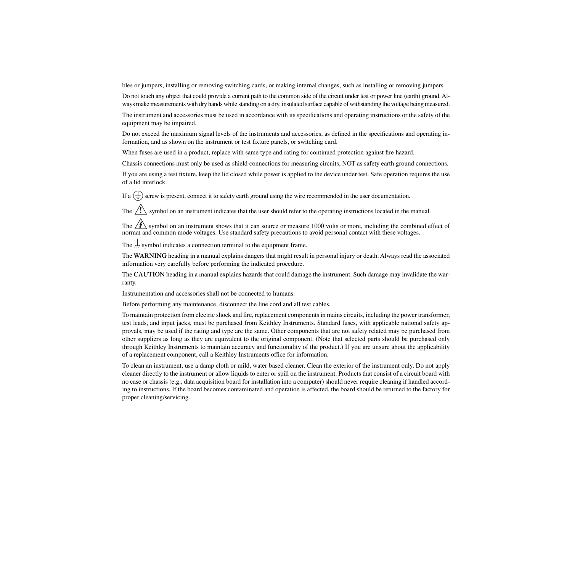bles or jumpers, installing or removing switching cards, or making internal changes, such as installing or removing jumpers.

Do not touch any object that could provide a current path to the common side of the circuit under test or power line (earth) ground. Always make measurements with dry hands while standing on a dry, insulated surface capable of withstanding the voltage being measured.

The instrument and accessories must be used in accordance with its specifications and operating instructions or the safety of the equipment may be impaired.

Do not exceed the maximum signal levels of the instruments and accessories, as defined in the specifications and operating information, and as shown on the instrument or test fixture panels, or switching card.

When fuses are used in a product, replace with same type and rating for continued protection against fire hazard.

Chassis connections must only be used as shield connections for measuring circuits, NOT as safety earth ground connections.

If you are using a test fixture, keep the lid closed while power is applied to the device under test. Safe operation requires the use of a lid interlock.

If a  $\leftarrow$  screw is present, connect it to safety earth ground using the wire recommended in the user documentation.

The  $\sqrt{!}$  symbol on an instrument indicates that the user should refer to the operating instructions located in the manual.

The  $\langle \hat{\mathbf{f}} \rangle$  symbol on an instrument shows that it can source or measure 1000 volts or more, including the combined effect of normal and common mode voltages. Use standard safety precautions to avoid personal contact with these voltages.

The  $\frac{1}{\sqrt{2}}$  symbol indicates a connection terminal to the equipment frame.

The **WARNING** heading in a manual explains dangers that might result in personal injury or death. Always read the associated information very carefully before performing the indicated procedure.

The **CAUTION** heading in a manual explains hazards that could damage the instrument. Such damage may invalidate the warranty.

Instrumentation and accessories shall not be connected to humans.

Before performing any maintenance, disconnect the line cord and all test cables.

To maintain protection from electric shock and fire, replacement components in mains circuits, including the power transformer, test leads, and input jacks, must be purchased from Keithley Instruments. Standard fuses, with applicable national safety approvals, may be used if the rating and type are the same. Other components that are not safety related may be purchased from other suppliers as long as they are equivalent to the original component. (Note that selected parts should be purchased only through Keithley Instruments to maintain accuracy and functionality of the product.) If you are unsure about the applicability of a replacement component, call a Keithley Instruments office for information.

To clean an instrument, use a damp cloth or mild, water based cleaner. Clean the exterior of the instrument only. Do not apply cleaner directly to the instrument or allow liquids to enter or spill on the instrument. Products that consist of a circuit board with no case or chassis (e.g., data acquisition board for installation into a computer) should never require cleaning if handled according to instructions. If the board becomes contaminated and operation is affected, the board should be returned to the factory for proper cleaning/servicing.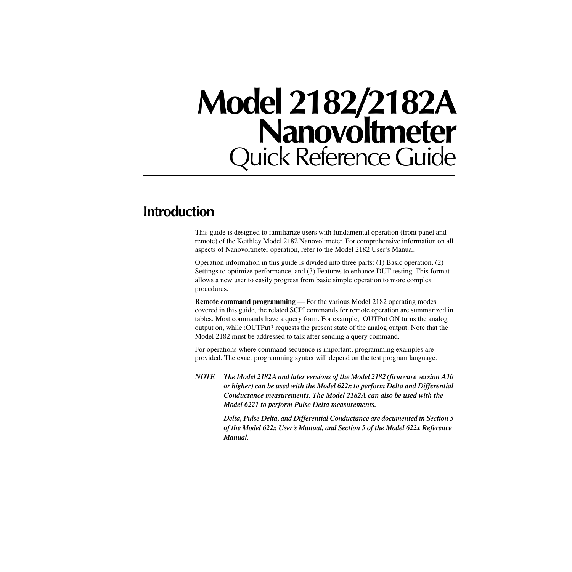# <span id="page-6-0"></span> **Model 2182/2182A Nanovoltmeter** Quick Reference Guide

# **Introduction**

This guide is designed to familiarize users with fundamental operation (front panel and remote) of the Keithley Model 2182 Nanovoltmeter. For comprehensive information on all aspects of Nanovoltmeter operation, refer to the Model 2182 User's Manual.

Operation information in this guide is divided into three parts: (1) Basic operation, (2) Settings to optimize performance, and (3) Features to enhance DUT testing. This format allows a new user to easily progress from basic simple operation to more complex procedures.

**Remote command programming** — For the various Model 2182 operating modes covered in this guide, the related SCPI commands for remote operation are summarized in tables. Most commands have a query form. For example, :OUTPut ON turns the analog output on, while :OUTPut? requests the present state of the analog output. Note that the Model 2182 must be addressed to talk after sending a query command.

For operations where command sequence is important, programming examples are provided. The exact programming syntax will depend on the test program language.

*NOTE The Model 2182A and later versions of the Model 2182 (firmware version A10 or higher) can be used with the Model 622x to perform Delta and Differential Conductance measurements. The Model 2182A can also be used with the Model 6221 to perform Pulse Delta measurements.*

> *Delta, Pulse Delta, and Differential Conductance are documented in Section 5 of the Model 622x User's Manual, and Section 5 of the Model 622x Reference Manual.*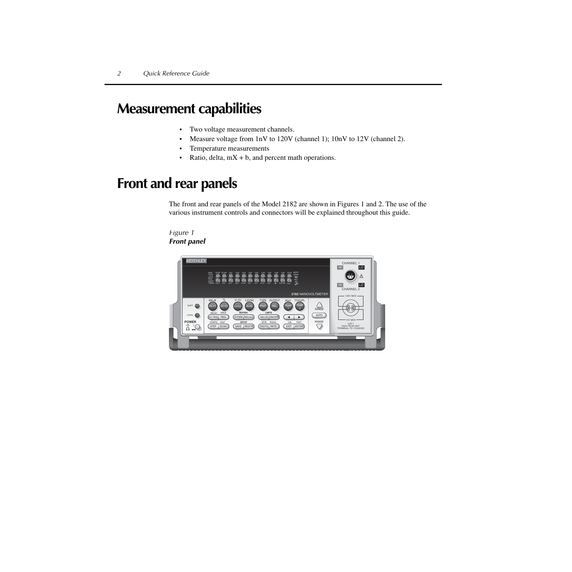# **Measurement capabilities**

- Two voltage measurement channels.
- Measure voltage from 1nV to 120V (channel 1); 10nV to 12V (channel 2).
- Temperature measurements
- Ratio, delta,  $mX + b$ , and percent math operations.

# **Front and rear panels**

The front and rear panels of the Model 2182 are shown in Figures 1 and 2. The use of the various instrument controls and connectors will be explained throughout this guide.

#### *Figure 1 Front panel*

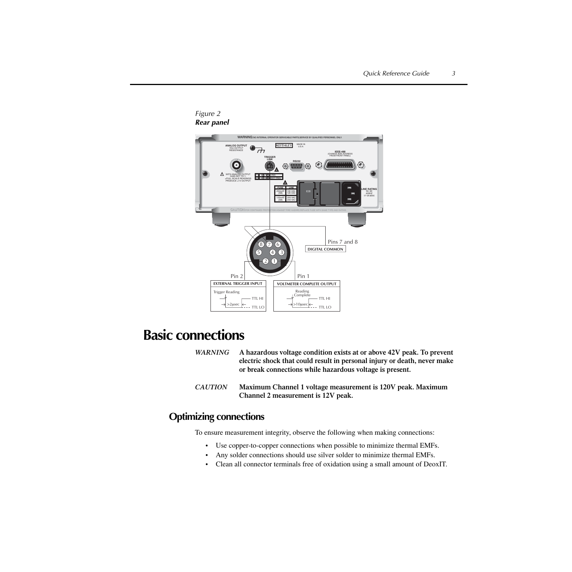#### <span id="page-8-0"></span>*Figure 2 Rear panel*



# **Basic connections**

- *WARNING* **A hazardous voltage condition exists at or above 42V peak. To prevent electric shock that could result in personal injury or death, never make or break connections while hazardous voltage is present.**
	- *CAUTION* **Maximum Channel 1 voltage measurement is 120V peak. Maximum Channel 2 measurement is 12V peak.**

## **Optimizing connections**

To ensure measurement integrity, observe the following when making connections:

- Use copper-to-copper connections when possible to minimize thermal EMFs.
- Any solder connections should use silver solder to minimize thermal EMFs.
- Clean all connector terminals free of oxidation using a small amount of DeoxIT.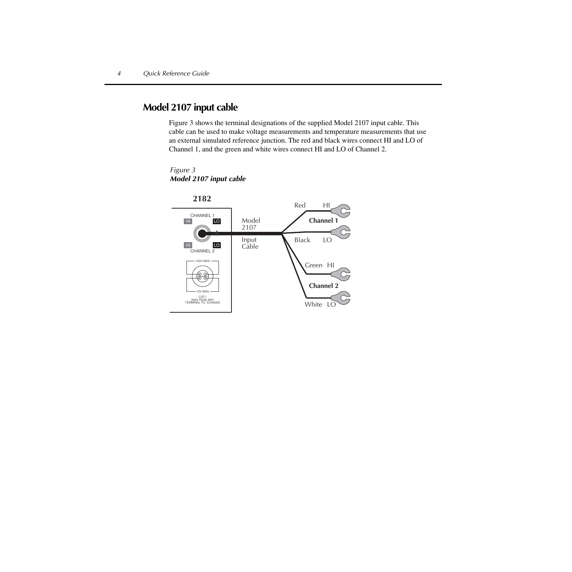## **Model 2107 input cable**

Figure 3 shows the terminal designations of the supplied Model 2107 input cable. This cable can be used to make voltage measurements and temperature measurements that use an external simulated reference junction. The red and black wires connect HI and LO of Channel 1, and the green and white wires connect HI and LO of Channel 2.

*Figure 3 Model 2107 input cable*

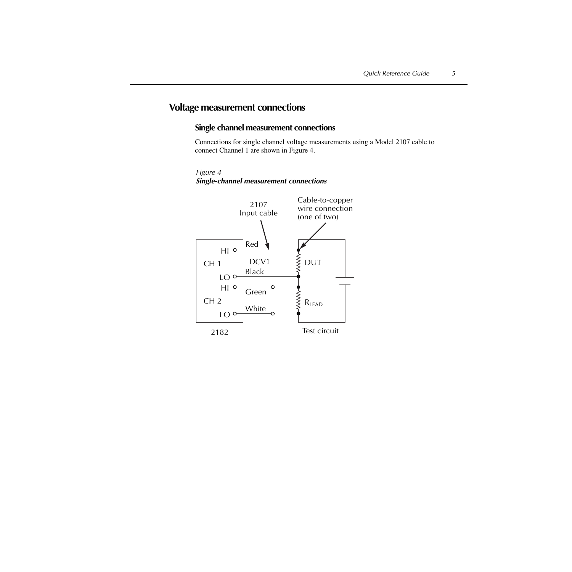## **Voltage measurement connections**

## **Single channel measurement connections**

Connections for single channel voltage measurements using a Model 2107 cable to connect Channel 1 are shown in Figure 4.

#### *Figure 4 Single-channel measurement connections*

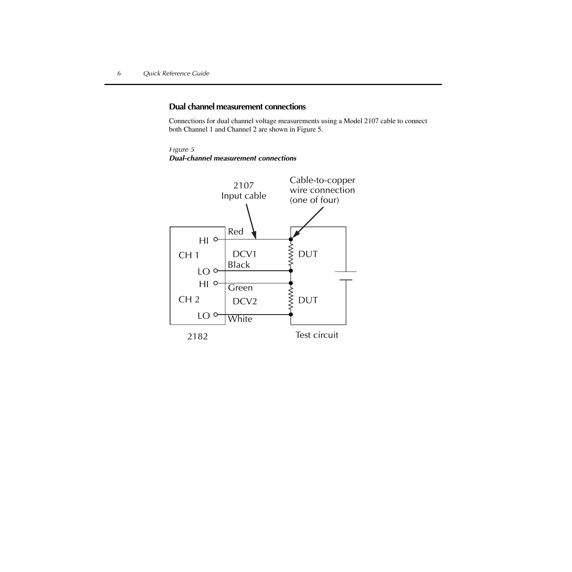## **Dual channel measurement connections**

Connections for dual channel voltage measurements using a Model 2107 cable to connect both Channel 1 and Channel 2 are shown in Figure 5.

### *Figure 5*

### *Dual-channel measurement connections*

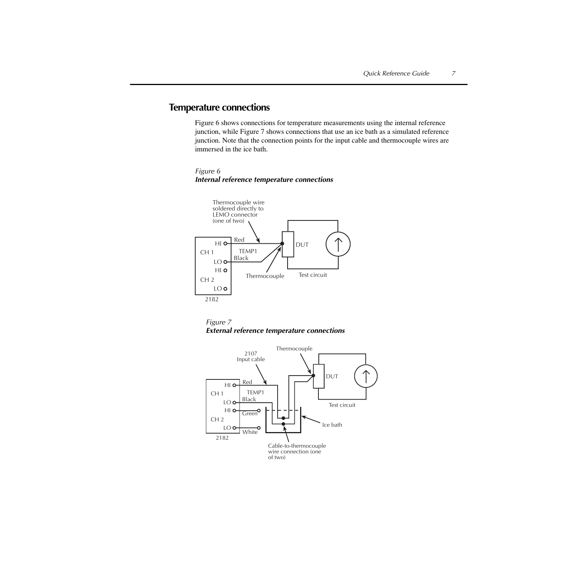## **Temperature connections**

Figure 6 shows connections for temperature measurements using the internal reference junction, while Figure 7 shows connections that use an ice bath as a simulated reference junction. Note that the connection points for the input cable and thermocouple wires are immersed in the ice bath.







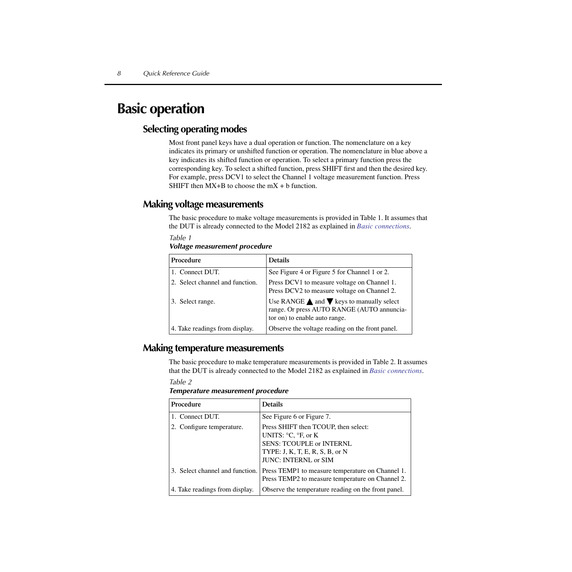# **Basic operation**

## **Selecting operating modes**

Most front panel keys have a dual operation or function. The nomenclature on a key indicates its primary or unshifted function or operation. The nomenclature in blue above a key indicates its shifted function or operation. To select a primary function press the corresponding key. To select a shifted function, press SHIFT first and then the desired key. For example, press DCV1 to select the Channel 1 voltage measurement function. Press SHIFT then  $MX + B$  to choose the  $mX + b$  function.

## **Making voltage measurements**

The basic procedure to make voltage measurements is provided in Table 1. It assumes that the DUT is already connected to the Model 2182 as explained in *[Basic connections](#page-8-0)*.

*Table 1* 

#### *Voltage measurement procedure*

| Procedure                       | <b>Details</b>                                                                                                                            |
|---------------------------------|-------------------------------------------------------------------------------------------------------------------------------------------|
| 1. Connect DUT.                 | See Figure 4 or Figure 5 for Channel 1 or 2.                                                                                              |
| 2. Select channel and function. | Press DCV1 to measure voltage on Channel 1.<br>Press DCV2 to measure voltage on Channel 2.                                                |
| 3. Select range.                | Use RANGE $\triangle$ and $\nabla$ keys to manually select<br>range. Or press AUTO RANGE (AUTO annuncia-<br>tor on) to enable auto range. |
| 4. Take readings from display.  | Observe the voltage reading on the front panel.                                                                                           |

## **Making temperature measurements**

The basic procedure to make temperature measurements is provided in Table 2. It assumes that the DUT is already connected to the Model 2182 as explained in *[Basic connections](#page-8-0)*.

*Table 2* 

*Temperature measurement procedure*

| Procedure                       | <b>Details</b>                                                                                                                                                                     |
|---------------------------------|------------------------------------------------------------------------------------------------------------------------------------------------------------------------------------|
| 1. Connect DUT.                 | See Figure 6 or Figure 7.                                                                                                                                                          |
| 2. Configure temperature.       | Press SHIFT then TCOUP, then select:<br>UNITS: $\degree$ C, $\degree$ F, or K<br><b>SENS: TCOUPLE or INTERNL</b><br>TYPE: J, K, T, E, R, S, B, or N<br><b>JUNC: INTERNL or SIM</b> |
| 3. Select channel and function. | Press TEMP1 to measure temperature on Channel 1.<br>Press TEMP2 to measure temperature on Channel 2.                                                                               |
| 4. Take readings from display.  | Observe the temperature reading on the front panel.                                                                                                                                |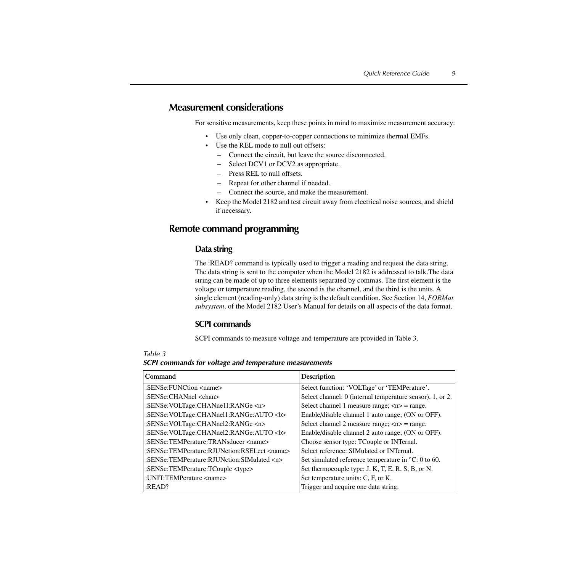## **Measurement considerations**

For sensitive measurements, keep these points in mind to maximize measurement accuracy:

- Use only clean, copper-to-copper connections to minimize thermal EMFs.
- Use the REL mode to null out offsets:
	- Connect the circuit, but leave the source disconnected.
	- Select DCV1 or DCV2 as appropriate.
	- Press REL to null offsets.
	- Repeat for other channel if needed.
	- Connect the source, and make the measurement.
- Keep the Model 2182 and test circuit away from electrical noise sources, and shield if necessary.

## **Remote command programming**

## **Data string**

The :READ? command is typically used to trigger a reading and request the data string. The data string is sent to the computer when the Model 2182 is addressed to talk.The data string can be made of up to three elements separated by commas. The first element is the voltage or temperature reading, the second is the channel, and the third is the units. A single element (reading-only) data string is the default condition. See Section 14, *FORMat subsystem,* of the Model 2182 User's Manual for details on all aspects of the data format.

## **SCPI commands**

SCPI commands to measure voltage and temperature are provided in Table 3.

*Table 3 SCPI commands for voltage and temperature measurements*

| Command                                                 | Description                                                  |
|---------------------------------------------------------|--------------------------------------------------------------|
| :SENSe: $FUNCtion$ <name></name>                        | Select function: 'VOLTage' or 'TEMPerature'.                 |
| :SENSe:CHANnel <chan></chan>                            | Select channel: 0 (internal temperature sensor), 1, or 2.    |
| :SENSe:VOLTage:CHANne11:RANGe <n></n>                   | Select channel 1 measure range; $\langle n \rangle$ = range. |
| :SENSe:VOLTage:CHANnel1:RANGe:AUTO <b></b>              | Enable/disable channel 1 auto range; (ON or OFF).            |
| :SENSe:VOLTage:CHANnel2:RANGe <n></n>                   | Select channel 2 measure range; $\langle n \rangle$ = range. |
| :SENSe:VOLTage:CHANnel2:RANGe:AUTO <b></b>              | Enable/disable channel 2 auto range; (ON or OFF).            |
| :SENSe:TEMPerature:TRANsducer <name></name>             | Choose sensor type: TCouple or INTernal.                     |
| :SENSe:TEMPerature:RJUNction:RSELect <name></name>      | Select reference: SIMulated or INTernal.                     |
| : $SENSe$ : $TEMP$ erature: $RJUNction$ : $SIMulated 2$ | Set simulated reference temperature in $°C: 0$ to 60.        |
| :SENSe:TEMPerature:TCouple <type></type>                | Set thermocouple type: J, K, T, E, R, S, B, or N.            |
| :UNIT:TEMPerature <name></name>                         | Set temperature units: C, F, or K.                           |
| $:$ READ?                                               | Trigger and acquire one data string.                         |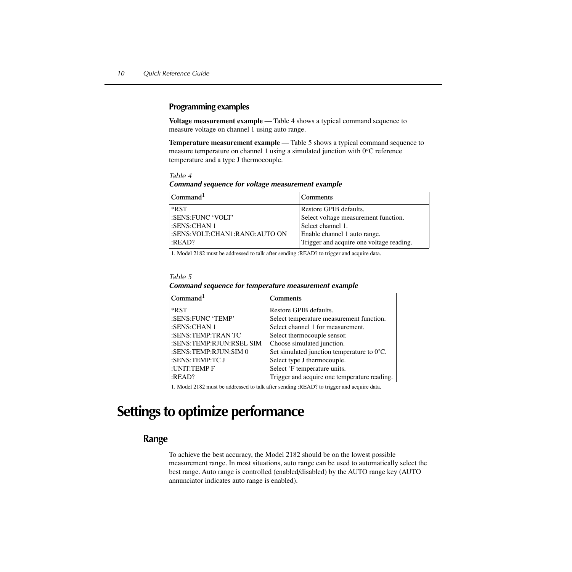## **Programming examples**

**Voltage measurement example** — Table 4 shows a typical command sequence to measure voltage on channel 1 using auto range.

**Temperature measurement example** — Table 5 shows a typical command sequence to measure temperature on channel 1 using a simulated junction with 0°C reference temperature and a type J thermocouple.

*Table 4 Command sequence for voltage measurement example*

| Command <sup>1</sup>            | <b>Comments</b>                          |
|---------------------------------|------------------------------------------|
| *RST                            | Restore GPIB defaults.                   |
| :SENS:FUNC 'VOLT'               | Select voltage measurement function.     |
| :SENS:CHAN $1$                  | Select channel 1.                        |
| :SENS: VOLT:CHAN1:RANG: AUTO ON | Enable channel 1 auto range.             |
| :READ?                          | Trigger and acquire one voltage reading. |

1. Model 2182 must be addressed to talk after sending :READ? to trigger and acquire data.

#### *Table 5 Command sequence for temperature measurement example*

| Command <sup>1</sup>     | <b>Comments</b>                                      |
|--------------------------|------------------------------------------------------|
| *RST                     | Restore GPIB defaults.                               |
| :SENS:FUNC 'TEMP'        | Select temperature measurement function.             |
| :SENS:CHAN 1             | Select channel 1 for measurement.                    |
| :SENS:TEMP:TRAN TC       | Select thermocouple sensor.                          |
| :SENS:TEMP:RJUN:RSEL SIM | Choose simulated junction.                           |
| :SENS:TEMP:RJUN:SIM 0    | Set simulated junction temperature to $0^{\circ}$ C. |
| :SENS:TEMP:TC J          | Select type J thermocouple.                          |
| :UNIT:TEMP F             | Select °F temperature units.                         |
| $:$ READ?                | Trigger and acquire one temperature reading.         |

1. Model 2182 must be addressed to talk after sending :READ? to trigger and acquire data.

# **Settings to optimize performance**

## **Range**

To achieve the best accuracy, the Model 2182 should be on the lowest possible measurement range. In most situations, auto range can be used to automatically select the best range. Auto range is controlled (enabled/disabled) by the AUTO range key (AUTO annunciator indicates auto range is enabled).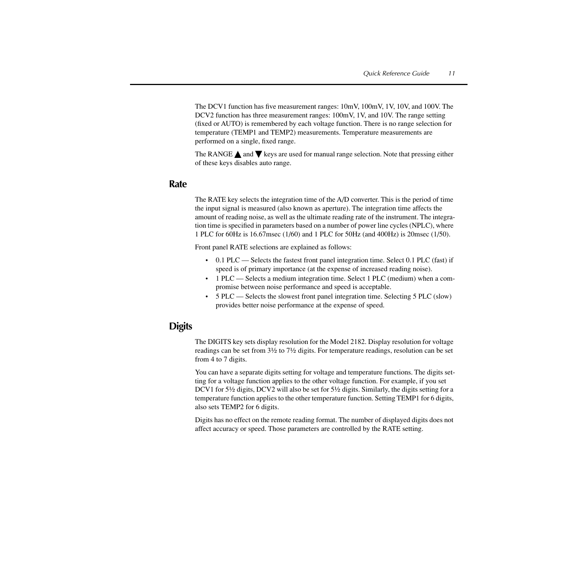The DCV1 function has five measurement ranges: 10mV, 100mV, 1V, 10V, and 100V. The DCV2 function has three measurement ranges: 100mV, 1V, and 10V. The range setting (fixed or AUTO) is remembered by each voltage function. There is no range selection for temperature (TEMP1 and TEMP2) measurements. Temperature measurements are performed on a single, fixed range.

The RANGE  $\triangle$  and  $\nabla$  keys are used for manual range selection. Note that pressing either of these keys disables auto range.

## **Rate**

The RATE key selects the integration time of the A/D converter. This is the period of time the input signal is measured (also known as aperture). The integration time affects the amount of reading noise, as well as the ultimate reading rate of the instrument. The integration time is specified in parameters based on a number of power line cycles (NPLC), where 1 PLC for 60Hz is 16.67msec (1/60) and 1 PLC for 50Hz (and 400Hz) is 20msec (1/50).

Front panel RATE selections are explained as follows:

- 0.1 PLC Selects the fastest front panel integration time. Select 0.1 PLC (fast) if speed is of primary importance (at the expense of increased reading noise).
- 1 PLC Selects a medium integration time. Select 1 PLC (medium) when a compromise between noise performance and speed is acceptable.
- 5 PLC Selects the slowest front panel integration time. Selecting 5 PLC (slow) provides better noise performance at the expense of speed.

## **Digits**

The DIGITS key sets display resolution for the Model 2182. Display resolution for voltage readings can be set from 3½ to 7½ digits. For temperature readings, resolution can be set from 4 to 7 digits.

You can have a separate digits setting for voltage and temperature functions. The digits setting for a voltage function applies to the other voltage function. For example, if you set DCV1 for 5½ digits, DCV2 will also be set for 5½ digits. Similarly, the digits setting for a temperature function applies to the other temperature function. Setting TEMP1 for 6 digits, also sets TEMP2 for 6 digits.

Digits has no effect on the remote reading format. The number of displayed digits does not affect accuracy or speed. Those parameters are controlled by the RATE setting.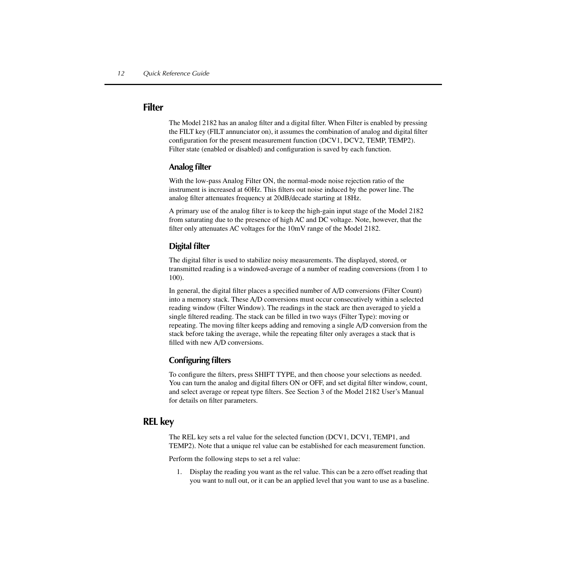## **Filter**

The Model 2182 has an analog filter and a digital filter. When Filter is enabled by pressing the FILT key (FILT annunciator on), it assumes the combination of analog and digital filter configuration for the present measurement function (DCV1, DCV2, TEMP, TEMP2). Filter state (enabled or disabled) and configuration is saved by each function.

## **Analog filter**

With the low-pass Analog Filter ON, the normal-mode noise rejection ratio of the instrument is increased at 60Hz. This filters out noise induced by the power line. The analog filter attenuates frequency at 20dB/decade starting at 18Hz.

A primary use of the analog filter is to keep the high-gain input stage of the Model 2182 from saturating due to the presence of high AC and DC voltage. Note, however, that the filter only attenuates AC voltages for the 10mV range of the Model 2182.

## **Digital filter**

The digital filter is used to stabilize noisy measurements. The displayed, stored, or transmitted reading is a windowed-average of a number of reading conversions (from 1 to 100).

In general, the digital filter places a specified number of A/D conversions (Filter Count) into a memory stack. These A/D conversions must occur consecutively within a selected reading window (Filter Window). The readings in the stack are then averaged to yield a single filtered reading. The stack can be filled in two ways (Filter Type): moving or repeating. The moving filter keeps adding and removing a single A/D conversion from the stack before taking the average, while the repeating filter only averages a stack that is filled with new A/D conversions.

## **Configuring filters**

To configure the filters, press SHIFT TYPE, and then choose your selections as needed. You can turn the analog and digital filters ON or OFF, and set digital filter window, count, and select average or repeat type filters. See Section 3 of the Model 2182 User's Manual for details on filter parameters.

## **REL key**

The REL key sets a rel value for the selected function (DCV1, DCV1, TEMP1, and TEMP2). Note that a unique rel value can be established for each measurement function.

Perform the following steps to set a rel value:

1. Display the reading you want as the rel value. This can be a zero offset reading that you want to null out, or it can be an applied level that you want to use as a baseline.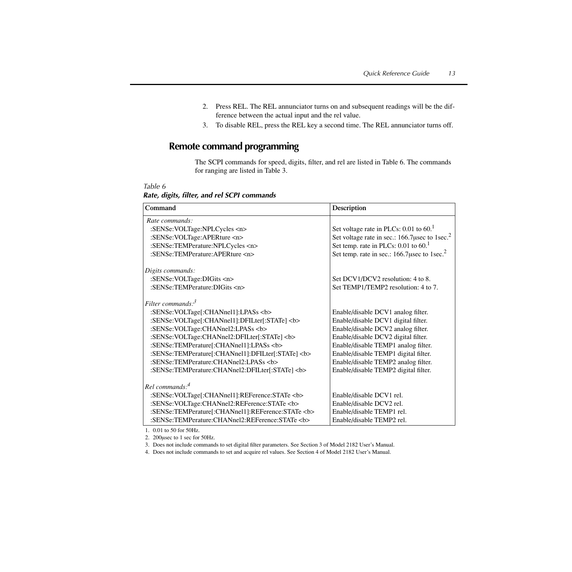- 2. Press REL. The REL annunciator turns on and subsequent readings will be the difference between the actual input and the rel value.
- 3. To disable REL, press the REL key a second time. The REL annunciator turns off.

## **Remote command programming**

The SCPI commands for speed, digits, filter, and rel are listed in Table 6. The commands for ranging are listed in Table 3.

*Table 6*

*Rate, digits, filter, and rel SCPI commands*

| Command                                               | Description                                                |
|-------------------------------------------------------|------------------------------------------------------------|
| $Rate\ commands$ :                                    |                                                            |
| :SENSe:VOLTage:NPLCycles <n></n>                      | Set voltage rate in PLCs: $0.01$ to $60.1$                 |
| :SENSe:VOLTage:APERture <n></n>                       | Set voltage rate in sec.: 166.7 µsec to 1sec. <sup>2</sup> |
| :SENSe:TEMPerature:NPLCycles <n></n>                  | Set temp. rate in PLCs: $0.01$ to $601$                    |
| :SENSe:TEMPerature:APERture <n></n>                   | Set temp. rate in sec.: $166.7$ usec to 1sec. <sup>2</sup> |
| Digits commands:                                      |                                                            |
| :SENSe:VOLTage:DIGits <n></n>                         | Set DCV1/DCV2 resolution: 4 to 8.                          |
| :SENSe:TEMPerature:DIGits $\langle n \rangle$         | Set TEMP1/TEMP2 resolution: 4 to 7.                        |
| Filter commands. <sup>3</sup>                         |                                                            |
| :SENSe:VOLTage[:CHANnel1]:LPASs <b></b>               | Enable/disable DCV1 analog filter.                         |
| :SENSe:VOLTage[:CHANnel1]:DFILter[:STATe] <b></b>     | Enable/disable DCV1 digital filter.                        |
| :SENSe:VOLTage:CHANnel2:LPASs <b></b>                 | Enable/disable DCV2 analog filter.                         |
| :SENSe:VOLTage:CHANnel2:DFILter[:STATe] <b></b>       | Enable/disable DCV2 digital filter.                        |
| :SENSe:TEMPerature[:CHANnel1]:LPASs <b></b>           | Enable/disable TEMP1 analog filter.                        |
| :SENSe:TEMPerature[:CHANnel1]:DFILter[:STATe] <b></b> | Enable/disable TEMP1 digital filter.                       |
| :SENSe:TEMPerature:CHANnel2:LPASs <b></b>             | Enable/disable TEMP2 analog filter.                        |
| :SENSe:TEMPerature:CHANnel2:DFILter[:STATe] <b></b>   | Enable/disable TEMP2 digital filter.                       |
| $Rel\ commands.^4$                                    |                                                            |
| :SENSe:VOLTage[:CHANnel1]:REFerence:STATe <b></b>     | Enable/disable DCV1 rel.                                   |
| :SENSe:VOLTage:CHANnel2:REFerence:STATe <b></b>       | Enable/disable DCV2 rel.                                   |
| :SENSe:TEMPerature[:CHANnel1]:REFerence:STATe <b></b> | Enable/disable TEMP1 rel.                                  |
| :SENSe:TEMPerature:CHANnel2:REFerence:STATe <b></b>   | Enable/disable TEMP2 rel.                                  |

1. 0.01 to 50 for 50Hz.

2. 200µsec to 1 sec for 50Hz.

3. Does not include commands to set digital filter parameters. See Section 3 of Model 2182 User's Manual.

4. Does not include commands to set and acquire rel values. See Section 4 of Model 2182 User's Manual.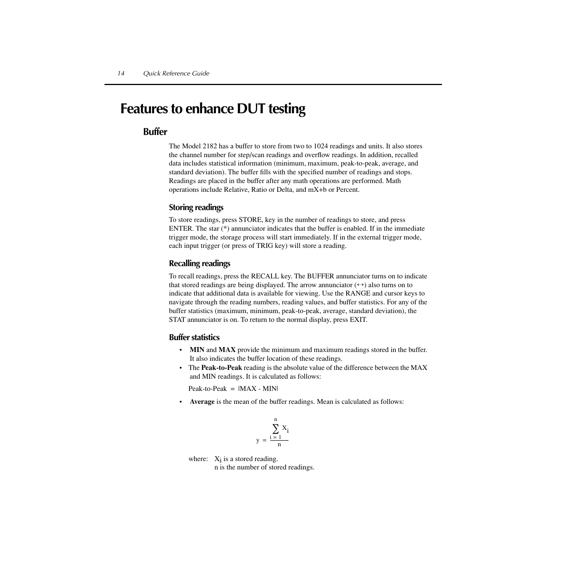# **Features to enhance DUT testing**

## **Buffer**

The Model 2182 has a buffer to store from two to 1024 readings and units. It also stores the channel number for step/scan readings and overflow readings. In addition, recalled data includes statistical information (minimum, maximum, peak-to-peak, average, and standard deviation). The buffer fills with the specified number of readings and stops. Readings are placed in the buffer after any math operations are performed. Math operations include Relative, Ratio or Delta, and mX+b or Percent.

## **Storing readings**

To store readings, press STORE, key in the number of readings to store, and press ENTER. The star  $(*)$  annunciator indicates that the buffer is enabled. If in the immediate trigger mode, the storage process will start immediately. If in the external trigger mode, each input trigger (or press of TRIG key) will store a reading.

## **Recalling readings**

To recall readings, press the RECALL key. The BUFFER annunciator turns on to indicate that stored readings are being displayed. The arrow annunciator  $(\leftrightarrow)$  also turns on to indicate that additional data is available for viewing. Use the RANGE and cursor keys to navigate through the reading numbers, reading values, and buffer statistics. For any of the buffer statistics (maximum, minimum, peak-to-peak, average, standard deviation), the STAT annunciator is on. To return to the normal display, press EXIT.

## **Buffer statistics**

- **MIN** and **MAX** provide the minimum and maximum readings stored in the buffer. It also indicates the buffer location of these readings.
- The **Peak-to-Peak** reading is the absolute value of the difference between the MAX and MIN readings. It is calculated as follows:

Peak-to-Peak  $=$   $MAX - MINI$ 

• **Average** is the mean of the buffer readings. Mean is calculated as follows:

$$
y = \frac{\sum_{i=1}^{n} X_i}{n}
$$

where:  $X_i$  is a stored reading.

n is the number of stored readings.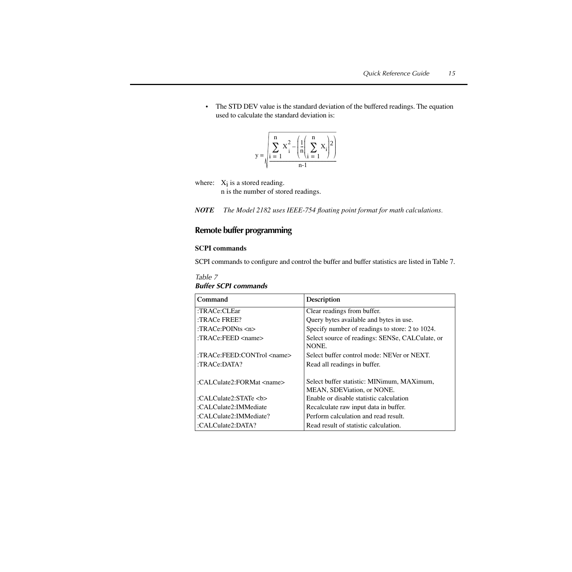• The STD DEV value is the standard deviation of the buffered readings. The equation used to calculate the standard deviation is:

$$
y = \sqrt{\sum_{i=1}^{n} X_i^2 - \left(\frac{1}{n} \left( \sum_{i=1}^{n} X_i \right)^2\right)}
$$

where:  $X_i$  is a stored reading. n is the number of stored readings.

*NOTE The Model 2182 uses IEEE-754 floating point format for math calculations.*

## **Remote buffer programming**

#### **SCPI commands**

SCPI commands to configure and control the buffer and buffer statistics are listed in Table 7.

*Table 7 Buffer SCPI commands*

| Command                           | Description                                                              |
|-----------------------------------|--------------------------------------------------------------------------|
| :TRACe:CLEar                      | Clear readings from buffer.                                              |
| :TRACe FREE?                      | Query bytes available and bytes in use.                                  |
| :TRACe:POINts $\langle n \rangle$ | Specify number of readings to store: 2 to 1024.                          |
| : $TR$ ACe: $FED$ <name></name>   | Select source of readings: SENSe, CALCulate, or<br>NONE.                 |
| :TRACe:FEED:CONTrol <name></name> | Select buffer control mode: NEVer or NEXT.                               |
| TRACe:DATA?                       | Read all readings in buffer.                                             |
| :CALCulate2:FORMat <name></name>  | Select buffer statistic: MINimum, MAXimum,<br>MEAN, SDEViation, or NONE. |
| :CALCulate2:STATe <b></b>         | Enable or disable statistic calculation                                  |
| :CALCulate2:IMMediate             | Recalculate raw input data in buffer.                                    |
| :CALCulate2:IMMediate?            | Perform calculation and read result.                                     |
| :CALCulate2:DATA?                 | Read result of statistic calculation.                                    |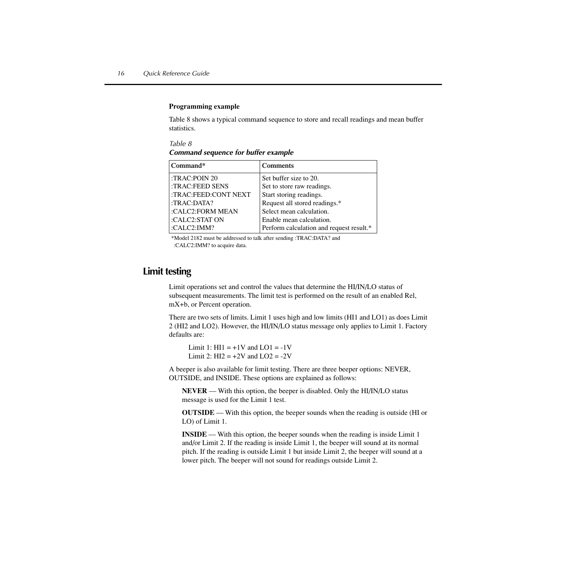#### **Programming example**

Table 8 shows a typical command sequence to store and recall readings and mean buffer statistics.

#### *Table 8 Command sequence for buffer example*

| Command*             | <b>Comments</b>                          |
|----------------------|------------------------------------------|
| :TRAC:POIN 20        | Set buffer size to 20.                   |
| :TRAC:FEED SENS      | Set to store raw readings.               |
| :TRAC:FEED:CONT NEXT | Start storing readings.                  |
| : $TRAC:DATA?$       | Request all stored readings.*            |
| :CALC2:FORM MEAN     | Select mean calculation.                 |
| :CALC2:STAT ON       | Enable mean calculation.                 |
| :CALC2:IMM?          | Perform calculation and request result.* |

\*Model 2182 must be addressed to talk after sending :TRAC:DATA? and :CALC2:IMM? to acquire data.

## **Limit testing**

Limit operations set and control the values that determine the HI/IN/LO status of subsequent measurements. The limit test is performed on the result of an enabled Rel, mX+b, or Percent operation.

There are two sets of limits. Limit 1 uses high and low limits (HI1 and LO1) as does Limit 2 (HI2 and LO2). However, the HI/IN/LO status message only applies to Limit 1. Factory defaults are:

Limit 1:  $HII = +1V$  and  $LO1 = -1V$ Limit 2:  $HI2 = +2V$  and  $LO2 = -2V$ 

A beeper is also available for limit testing. There are three beeper options: NEVER, OUTSIDE, and INSIDE. These options are explained as follows:

**NEVER** — With this option, the beeper is disabled. Only the HI/IN/LO status message is used for the Limit 1 test.

**OUTSIDE** — With this option, the beeper sounds when the reading is outside (HI or LO) of Limit 1.

**INSIDE** — With this option, the beeper sounds when the reading is inside Limit 1 and/or Limit 2. If the reading is inside Limit 1, the beeper will sound at its normal pitch. If the reading is outside Limit 1 but inside Limit 2, the beeper will sound at a lower pitch. The beeper will not sound for readings outside Limit 2.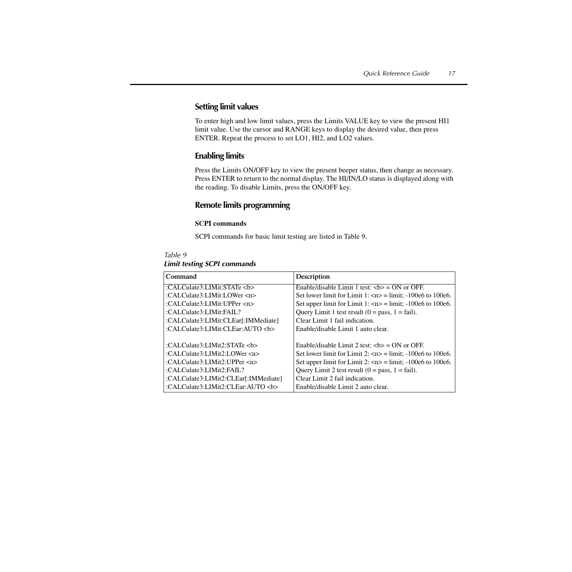## **Setting limit values**

To enter high and low limit values, press the Limits VALUE key to view the present HI1 limit value. Use the cursor and RANGE keys to display the desired value, then press ENTER. Repeat the process to set LO1, HI2, and LO2 values.

#### **Enabling limits**

Press the Limits ON/OFF key to view the present beeper status, then change as necessary. Press ENTER to return to the normal display. The HI/IN/LO status is displayed along with the reading. To disable Limits, press the ON/OFF key.

#### **Remote limits programming**

#### **SCPI commands**

SCPI commands for basic limit testing are listed in Table 9.

| Table 9 |  |                                    |
|---------|--|------------------------------------|
|         |  | <b>Limit testing SCPI commands</b> |

| Command                                                                                   | Description                                                                |
|-------------------------------------------------------------------------------------------|----------------------------------------------------------------------------|
| :CALCulate3:LIMit:STATe <b></b>                                                           | Enable/disable Limit 1 test: $> = ON$ or OFF.                              |
| :CALCulate3:LIMit:LOWer <n></n>                                                           | Set lower limit for Limit $1: \langle n \rangle =$ limit; -100e6 to 100e6. |
| :CALCulate3:LIMit:UPPer <n></n>                                                           | Set upper limit for Limit 1: $\langle n \rangle$ = limit; -100e6 to 100e6. |
| :CALCulate3:LIMit:FAIL?                                                                   | Query Limit 1 test result ( $0 = \text{pass}, 1 = \text{fail}$ ).          |
| :CALCulate3:LIMit:CLEar[:IMMediate]                                                       | Clear Limit 1 fail indication.                                             |
| :CALCulate3:LIMit:CLEar:AUTO <br< td=""><td>Enable/disable Limit 1 auto clear.</td></br<> | Enable/disable Limit 1 auto clear.                                         |
|                                                                                           |                                                                            |
| : $CALCulate3: LIMit2:STATE cb$                                                           | Enable/disable Limit 2 test: $> = ON$ or OFF.                              |
| :CALCulate3:LIMit2:LOWer <n></n>                                                          | Set lower limit for Limit 2: $\langle n \rangle$ = limit; -100e6 to 100e6. |
| :CALCulate3:LIMit2:UPPer <n></n>                                                          | Set upper limit for Limit 2: $\langle n \rangle$ = limit; -100e6 to 100e6. |
| :CALCulate3:LIMit2:FAIL?                                                                  | Query Limit 2 test result $(0 = pass, 1 = fail)$ .                         |
| :CALCulate3:LIMit2:CLEar[:IMMediate]                                                      | Clear Limit 2 fail indication.                                             |
| :CALCulate3:LIMit2:CLEar:AUTO <b></b>                                                     | Enable/disable Limit 2 auto clear.                                         |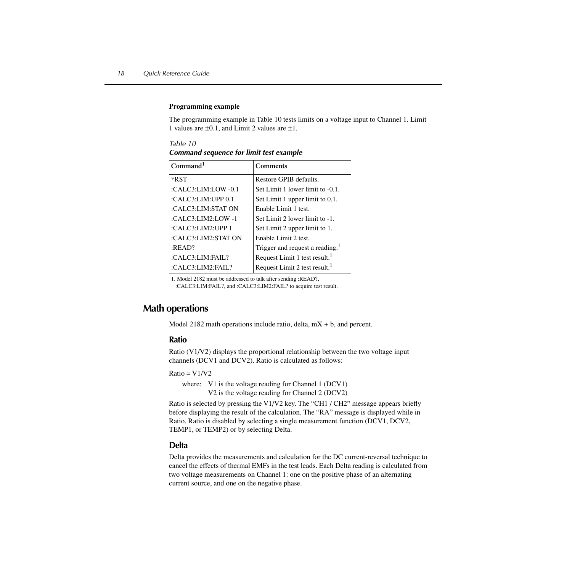#### **Programming example**

The programming example in Table 10 tests limits on a voltage input to Channel 1. Limit 1 values are ±0.1, and Limit 2 values are ±1.

*Table 10 Command sequence for limit test example*

| Command <sup>1</sup>     | <b>Comments</b>                             |
|--------------------------|---------------------------------------------|
| *RST                     | Restore GPIB defaults.                      |
| : $CALC3: LIM: LOW -0.1$ | Set Limit 1 lower limit to -0.1.            |
| :CALC3:LIM:UPP $0.1$     | Set Limit 1 upper limit to 0.1.             |
| :CALC3:LIM:STAT ON       | Enable Limit 1 test.                        |
| :CALC3:LIM2:LOW -1       | Set Limit 2 lower limit to -1.              |
| :CALC3:LIM2:UPP 1        | Set Limit 2 upper limit to 1.               |
| :CALC3:LIM2:STAT ON      | Enable Limit 2 test.                        |
| $:$ READ?                | Trigger and request a reading. <sup>1</sup> |
| :CALC3:LIM:FAIL?         | Request Limit 1 test result. <sup>1</sup>   |
| :CALC3:LIM2:FAIL?        | Request Limit 2 test result. <sup>1</sup>   |

1. Model 2182 must be addressed to talk after sending :READ?,

:CALC3:LIM:FAIL?, and :CALC3:LIM2:FAIL? to acquire test result.

## **Math operations**

Model 2182 math operations include ratio, delta,  $mX + b$ , and percent.

#### **Ratio**

Ratio (V1/V2) displays the proportional relationship between the two voltage input channels (DCV1 and DCV2). Ratio is calculated as follows:

 $Ratio = V1/V2$ 

where: V1 is the voltage reading for Channel 1 (DCV1) V2 is the voltage reading for Channel 2 (DCV2)

Ratio is selected by pressing the V1/V2 key. The "CH1 / CH2" message appears briefly before displaying the result of the calculation. The "RA" message is displayed while in Ratio. Ratio is disabled by selecting a single measurement function (DCV1, DCV2, TEMP1, or TEMP2) or by selecting Delta.

## **Delta**

Delta provides the measurements and calculation for the DC current-reversal technique to cancel the effects of thermal EMFs in the test leads. Each Delta reading is calculated from two voltage measurements on Channel 1: one on the positive phase of an alternating current source, and one on the negative phase.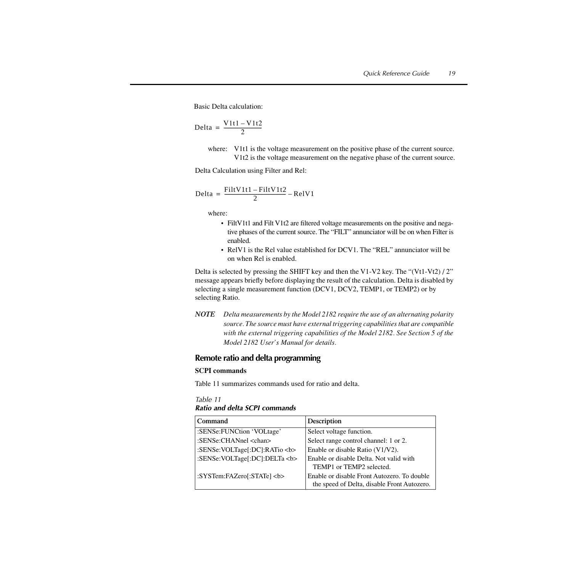Basic Delta calculation:

$$
Delta = \frac{V1t1 - V1t2}{2}
$$

where: V1t1 is the voltage measurement on the positive phase of the current source. V1t2 is the voltage measurement on the negative phase of the current source.

Delta Calculation using Filter and Rel:

$$
Delta = \frac{FiltV1t1 - FiltV1t2}{2} - RelV1
$$

where:

- FiltV1t1 and Filt V1t2 are filtered voltage measurements on the positive and negative phases of the current source. The "FILT" annunciator will be on when Filter is enabled.
- RelV1 is the Rel value established for DCV1. The "REL" annunciator will be on when Rel is enabled.

Delta is selected by pressing the SHIFT key and then the V1-V2 key. The "(Vt1-Vt2)  $/2$ " message appears briefly before displaying the result of the calculation. Delta is disabled by selecting a single measurement function (DCV1, DCV2, TEMP1, or TEMP2) or by selecting Ratio.

*NOTE Delta measurements by the Model 2182 require the use of an alternating polarity source. The source must have external triggering capabilities that are compatible with the external triggering capabilities of the Model 2182. See Section 5 of the Model 2182 User's Manual for details.*

### **Remote ratio and delta programming**

#### **SCPI commands**

Table 11 summarizes commands used for ratio and delta.

*Table 11*

*Ratio and delta SCPI commands* 

| Command                           | Description                                                         |
|-----------------------------------|---------------------------------------------------------------------|
| :SENSe:FUNCtion 'VOLtage'         | Select voltage function.                                            |
| :SENSe:CHANnel <chan></chan>      | Select range control channel: 1 or 2.                               |
| :SENSe:VOLTage[:DC]:RATio <b></b> | Enable or disable Ratio $(V1/V2)$ .                                 |
| :SENSe:VOLTage[:DC]:DELTa <b></b> | Enable or disable Delta. Not valid with<br>TEMP1 or TEMP2 selected. |
| :SYSTem:FAZero[:STATe] <b></b>    | Enable or disable Front Autozero. To double                         |
|                                   | the speed of Delta, disable Front Autozero.                         |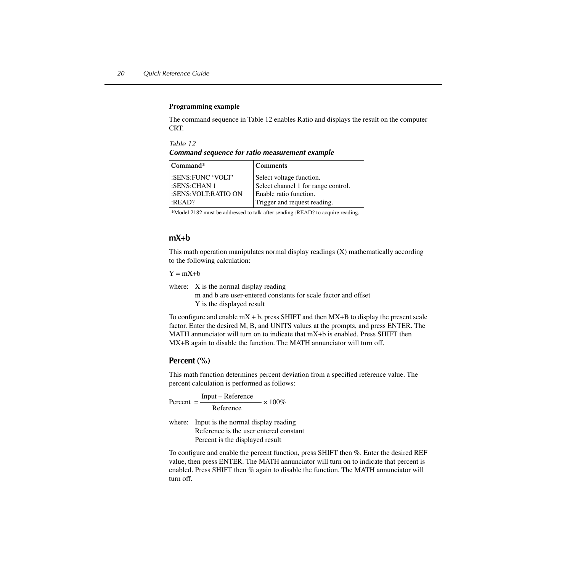#### **Programming example**

The command sequence in Table 12 enables Ratio and displays the result on the computer CRT.

*Table 12*

*Command sequence for ratio measurement example*

| Command*              | <b>Comments</b>                     |
|-----------------------|-------------------------------------|
| :SENS:FUNC 'VOLT'     | Select voltage function.            |
| :SENS:CHAN 1          | Select channel 1 for range control. |
| :SENS: VOLT: RATIO ON | Enable ratio function.              |
| $:$ READ?             | Trigger and request reading.        |

\*Model 2182 must be addressed to talk after sending :READ? to acquire reading.

## **mX+b**

This math operation manipulates normal display readings (X) mathematically according to the following calculation:

 $Y = mX+b$ 

where: X is the normal display reading m and b are user-entered constants for scale factor and offset Y is the displayed result

To configure and enable  $mX + b$ , press SHIFT and then  $MX + B$  to display the present scale factor. Enter the desired M, B, and UNITS values at the prompts, and press ENTER. The MATH annunciator will turn on to indicate that mX+b is enabled. Press SHIFT then MX+B again to disable the function. The MATH annunciator will turn off.

## **Percent (%)**

This math function determines percent deviation from a specified reference value. The percent calculation is performed as follows:

 Input – Reference Percent  $=$   $-$ ––––––––––––––– $\times 100\%$ Reference

where: Input is the normal display reading Reference is the user entered constant Percent is the displayed result

To configure and enable the percent function, press SHIFT then %. Enter the desired REF value, then press ENTER. The MATH annunciator will turn on to indicate that percent is enabled. Press SHIFT then % again to disable the function. The MATH annunciator will turn off.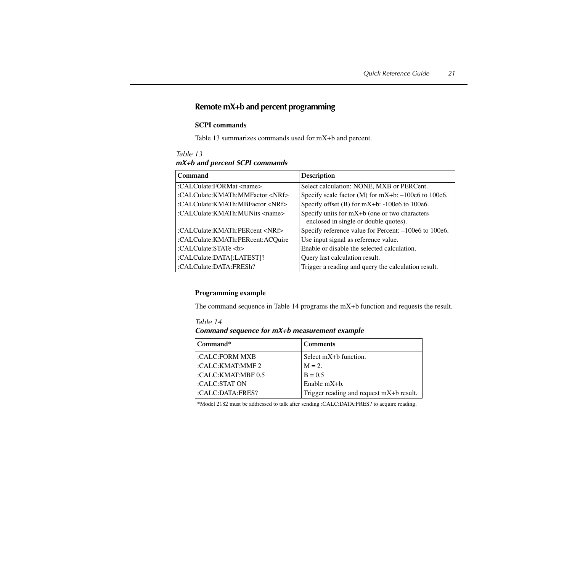## **Remote mX+b and percent programming**

#### **SCPI commands**

Table 13 summarizes commands used for mX+b and percent.

*Table 13 mX+b and percent SCPI commands*

| Command                               | Description                                                                              |
|---------------------------------------|------------------------------------------------------------------------------------------|
| :CALCulate:FORMat <name></name>       | Select calculation: NONE, MXB or PERCent.                                                |
| :CALCulate:KMATh:MMFactor <nrf></nrf> | Specify scale factor (M) for $mX+b$ : $-100e6$ to 100e6.                                 |
| :CALCulate:KMATh:MBFactor <nrf></nrf> | Specify offset (B) for mX+b: -100e6 to 100e6.                                            |
| :CALCulate:KMATh:MUNits <name></name> | Specify units for $mX+b$ (one or two characters<br>enclosed in single or double quotes). |
| :CALCulate:KMATh:PERcent <nrf></nrf>  | Specify reference value for Percent: -100e6 to 100e6.                                    |
| :CALCulate:KMATh:PERcent:ACOuire      | Use input signal as reference value.                                                     |
| :CALCulate:STATe <b></b>              | Enable or disable the selected calculation.                                              |
| :CALCulate:DATA[:LATEST]?             | Query last calculation result.                                                           |
| :CALCulate:DATA:FRESh?                | Trigger a reading and query the calculation result.                                      |

#### **Programming example**

The command sequence in Table 14 programs the mX+b function and requests the result.

*Table 14 Command sequence for mX+b measurement example*

| $Command*$           | <b>Comments</b>                          |
|----------------------|------------------------------------------|
| :CALC:FORM MXB       | Select mX+b function.                    |
| :CALC:KMAT:MMF 2     | $M = 2.$                                 |
| :CALC:KMAT:MBF $0.5$ | $B = 0.5$                                |
| :CALC:STAT ON        | Enable $mX+b$ .                          |
| :CALC:DATA:FRES?     | Trigger reading and request mX+b result. |

\*Model 2182 must be addressed to talk after sending :CALC:DATA:FRES? to acquire reading.